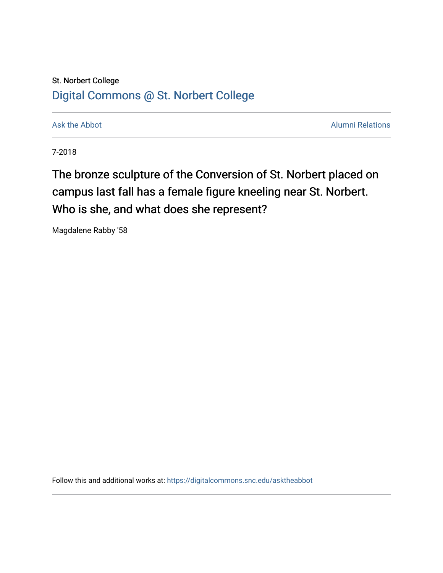## St. Norbert College [Digital Commons @ St. Norbert College](https://digitalcommons.snc.edu/)

[Ask the Abbot](https://digitalcommons.snc.edu/asktheabbot) **Alumni Relations** Ask the Abbot [Alumni Relations](https://digitalcommons.snc.edu/alumni) and Alumni Relations and Alumni Relations and Alumni Relations and Alumni Relations and Alumni Relations and Alumni Relations and Alumni Relations and Alumni

7-2018

The bronze sculpture of the Conversion of St. Norbert placed on campus last fall has a female figure kneeling near St. Norbert. Who is she, and what does she represent?

Magdalene Rabby '58

Follow this and additional works at: [https://digitalcommons.snc.edu/asktheabbot](https://digitalcommons.snc.edu/asktheabbot?utm_source=digitalcommons.snc.edu%2Fasktheabbot%2F109&utm_medium=PDF&utm_campaign=PDFCoverPages)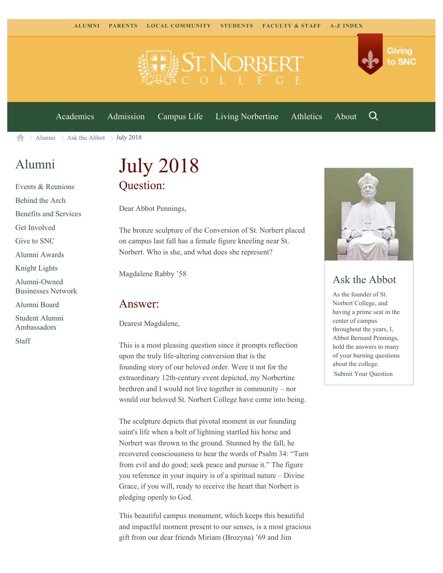

[Academics](https://www.snc.edu/academics) [Admission](https://www.snc.edu/admission) [Campus Life](https://www.snc.edu/campuslife) [Living Norbertine](https://www.snc.edu/livingnorbertine) [Athletics](https://www.snc.edu/athletics) [About](https://www.snc.edu/about)

Q

Giving

to SNC

[Alumni](https://www.snc.edu/alumni/)  $\geq$  [Ask the Abbot](https://www.snc.edu/alumni/abbot/)  $\geq$  July 2018 合

## [Alumni](https://www.snc.edu/alumni/index.html)

[Events & Reunions](https://www.snc.edu/alumni/event/index.html) [Behind the Arch](https://www.snc.edu/alumni/event/behindthearch/) [Benefits and Services](https://www.snc.edu/alumni/benefits.html) [Get Involved](https://www.snc.edu/alumni/getinvolved.html) [Give to SNC](http://giving.snc.edu/) [Alumni Awards](https://www.snc.edu/alumni/awards/index.html) [Knight Lights](https://www.snc.edu/alumni/knightlights/index.html) [Alumni-Owned](https://www.snc.edu/alumni/directory/index.html) [Businesses Network](https://www.snc.edu/alumni/directory/index.html) [Alumni Board](https://www.snc.edu/alumni/alumniboard.html) [Student Alumni](https://www.snc.edu/alumni/saa.html) [Ambassadors](https://www.snc.edu/alumni/saa.html)

[Staff](https://www.snc.edu/alumni/contactus.html)

# July 2018 Question:

Dear Abbot Pennings,

The bronze sculpture of the Conversion of St. Norbert placed on campus last fall has a female figure kneeling near St. Norbert. Who is she, and what does she represent?

Magdalene Rabby '58

#### Answer:

Dearest Magdalene,

This is a most pleasing question since it prompts reflection upon the truly life-altering conversion that is the founding story of our beloved order. Were it not for the extraordinary 12th-century event depicted, my Norbertine brethren and I would not live together in community – nor would our beloved St. Norbert College have come into being.

The sculpture depicts that pivotal moment in our founding saint's life when a bolt of lightning startled his horse and Norbert was thrown to the ground. Stunned by the fall, he recovered consciousness to hear the words of Psalm 34: "Turn from evil and do good; seek peace and pursue it." The figure you reference in your inquiry is of a spiritual nature – Divine Grace, if you will, ready to receive the heart that Norbert is pledging openly to God.

This beautiful campus monument, which keeps this beautiful and impactful moment present to our senses, is a most gracious gift from our dear friends Miriam (Brozyna) '69 and Jim



### Ask the Abbot

As the founder of St. Norbert College, and having a prime seat in the center of campus throughout the years, I, Abbot Bernard Pennings, hold the answers to many of your burning questions about the college. [Submit Your Question](https://www.snc.edu/alumni/abbot/index.html)